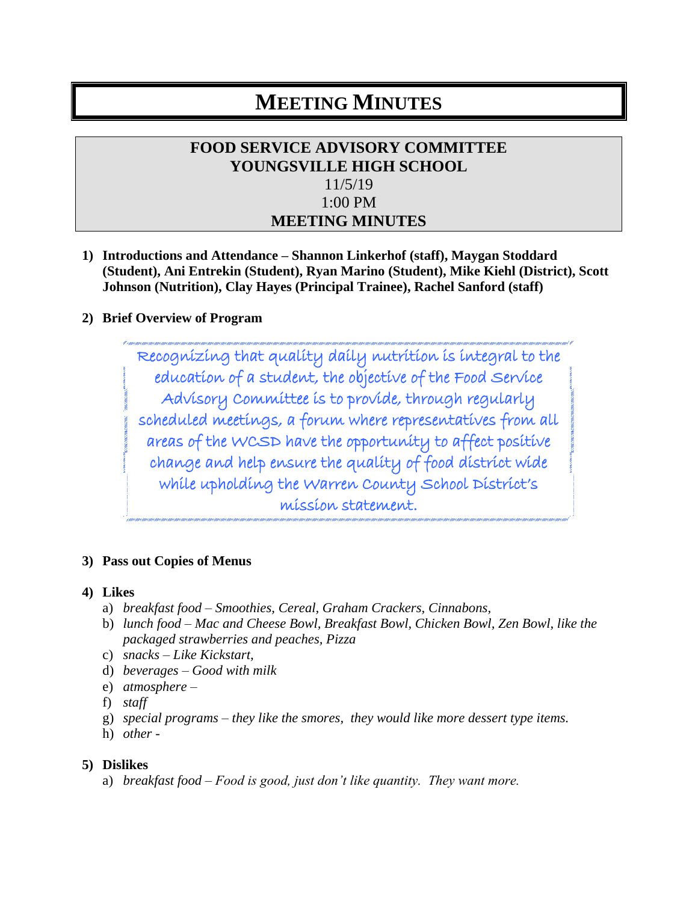# **MEETING MINUTES**

## **FOOD SERVICE ADVISORY COMMITTEE YOUNGSVILLE HIGH SCHOOL** 11/5/19 1:00 PM **MEETING MINUTES**

**1) Introductions and Attendance – Shannon Linkerhof (staff), Maygan Stoddard (Student), Ani Entrekin (Student), Ryan Marino (Student), Mike Kiehl (District), Scott Johnson (Nutrition), Clay Hayes (Principal Trainee), Rachel Sanford (staff)**

#### **2) Brief Overview of Program**

Recognizing that quality daily nutrition is integral to the education of a student, the objective of the Food Service Advisory Committee is to provide, through regularly scheduled meetings, a forum where representatives from all areas of the WCSD have the opportunity to affect positive change and help ensure the quality of food district wide while upholding the Warren County School District's mission statement.

#### **3) Pass out Copies of Menus**

#### **4) Likes**

- a) *breakfast food – Smoothies, Cereal, Graham Crackers, Cinnabons,*
- b) *lunch food – Mac and Cheese Bowl, Breakfast Bowl, Chicken Bowl, Zen Bowl, like the packaged strawberries and peaches, Pizza*
- c) *snacks – Like Kickstart,*
- d) *beverages – Good with milk*
- e) *atmosphere –*
- f) *staff*
- g) *special programs – they like the smores, they would like more dessert type items.*
- h) *other*

#### **5) Dislikes**

a) *breakfast food – Food is good, just don't like quantity. They want more.*